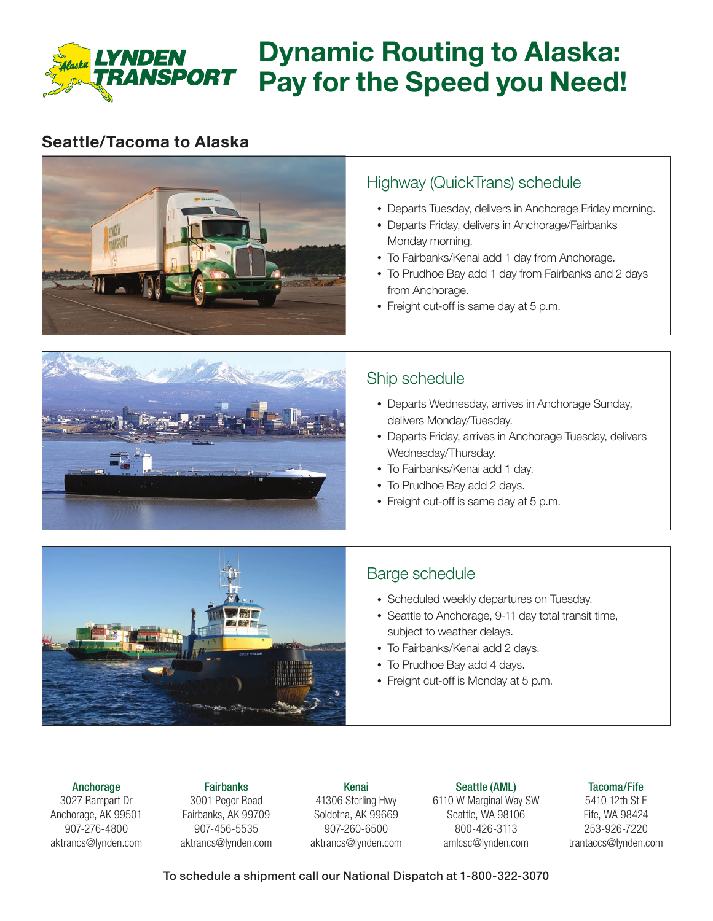

# Dynamic Routing to Alaska: Pay for the Speed you Need!

# Seattle/Tacoma to Alaska



### Highway (QuickTrans) schedule

- Departs Tuesday, delivers in Anchorage Friday morning.
- Departs Friday, delivers in Anchorage/Fairbanks Monday morning.
- To Fairbanks/Kenai add 1 day from Anchorage.
- To Prudhoe Bay add 1 day from Fairbanks and 2 days from Anchorage.
- Freight cut-off is same day at 5 p.m.



# Ship schedule

- Departs Wednesday, arrives in Anchorage Sunday, delivers Monday/Tuesday.
- Departs Friday, arrives in Anchorage Tuesday, delivers Wednesday/Thursday.
- To Fairbanks/Kenai add 1 day.
- To Prudhoe Bay add 2 days.
- Freight cut-off is same day at 5 p.m.



## Barge schedule

- Scheduled weekly departures on Tuesday.
- Seattle to Anchorage, 9-11 day total transit time, subject to weather delays.
- To Fairbanks/Kenai add 2 days.
- To Prudhoe Bay add 4 days.
- Freight cut-off is Monday at 5 p.m.

#### Anchorage

3027 Rampart Dr Anchorage, AK 99501 907-276-4800 aktrancs@lynden.com

**Fairbanks** 3001 Peger Road Fairbanks, AK 99709 907-456-5535 aktrancs@lynden.com

Kenai 41306 Sterling Hwy Soldotna, AK 99669 907-260-6500 aktrancs@lynden.com

Seattle (AML) 6110 W Marginal Way SW Seattle, WA 98106 800-426-3113 amlcsc@lynden.com

Tacoma/Fife 5410 12th St E Fife, WA 98424 253-926-7220 trantaccs@lynden.com

To schedule a shipment call our National Dispatch at 1-800-322-3070